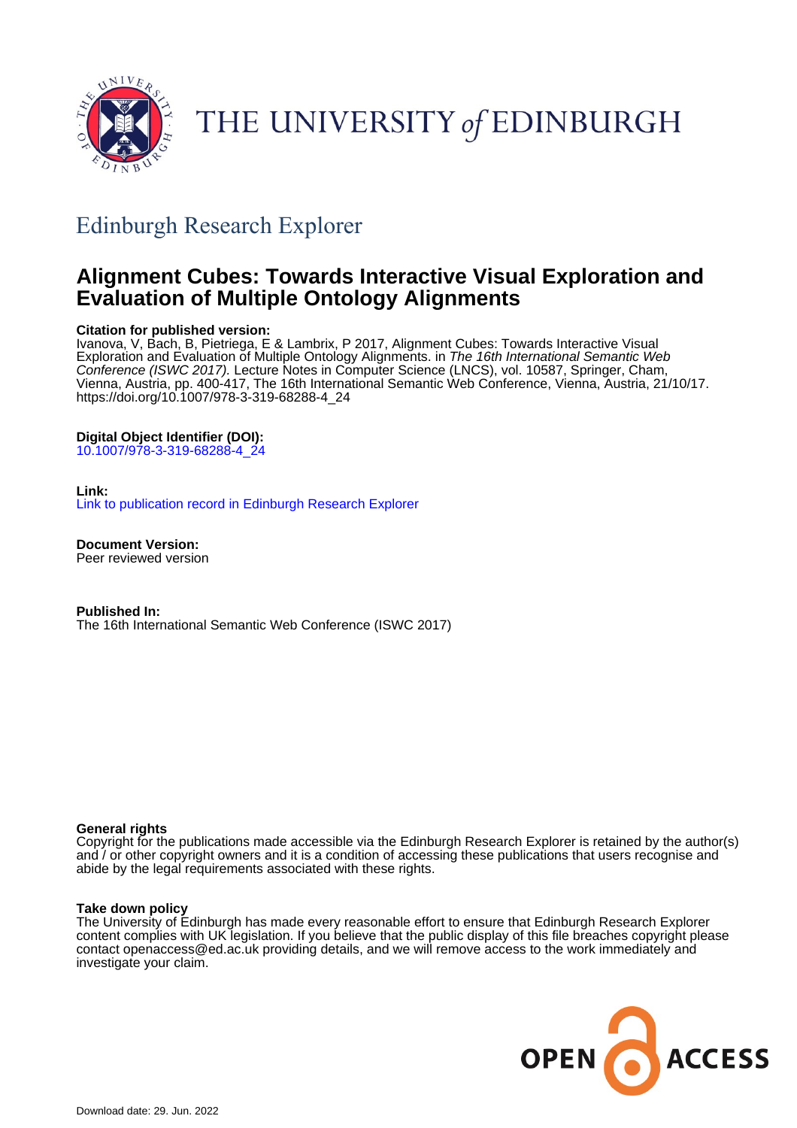

# THE UNIVERSITY of EDINBURGH

## Edinburgh Research Explorer

## **Alignment Cubes: Towards Interactive Visual Exploration and Evaluation of Multiple Ontology Alignments**

#### **Citation for published version:**

Ivanova, V, Bach, B, Pietriega, E & Lambrix, P 2017, Alignment Cubes: Towards Interactive Visual Exploration and Evaluation of Multiple Ontology Alignments. in The 16th International Semantic Web Conference (ISWC 2017). Lecture Notes in Computer Science (LNCS), vol. 10587, Springer, Cham, Vienna, Austria, pp. 400-417, The 16th International Semantic Web Conference, Vienna, Austria, 21/10/17. [https://doi.org/10.1007/978-3-319-68288-4\\_24](https://doi.org/10.1007/978-3-319-68288-4_24)

#### **Digital Object Identifier (DOI):**

[10.1007/978-3-319-68288-4\\_24](https://doi.org/10.1007/978-3-319-68288-4_24)

#### **Link:**

[Link to publication record in Edinburgh Research Explorer](https://www.research.ed.ac.uk/en/publications/148650e9-0218-4ce0-b38f-7420c7e3719d)

**Document Version:** Peer reviewed version

**Published In:** The 16th International Semantic Web Conference (ISWC 2017)

#### **General rights**

Copyright for the publications made accessible via the Edinburgh Research Explorer is retained by the author(s) and / or other copyright owners and it is a condition of accessing these publications that users recognise and abide by the legal requirements associated with these rights.

#### **Take down policy**

The University of Edinburgh has made every reasonable effort to ensure that Edinburgh Research Explorer content complies with UK legislation. If you believe that the public display of this file breaches copyright please contact openaccess@ed.ac.uk providing details, and we will remove access to the work immediately and investigate your claim.

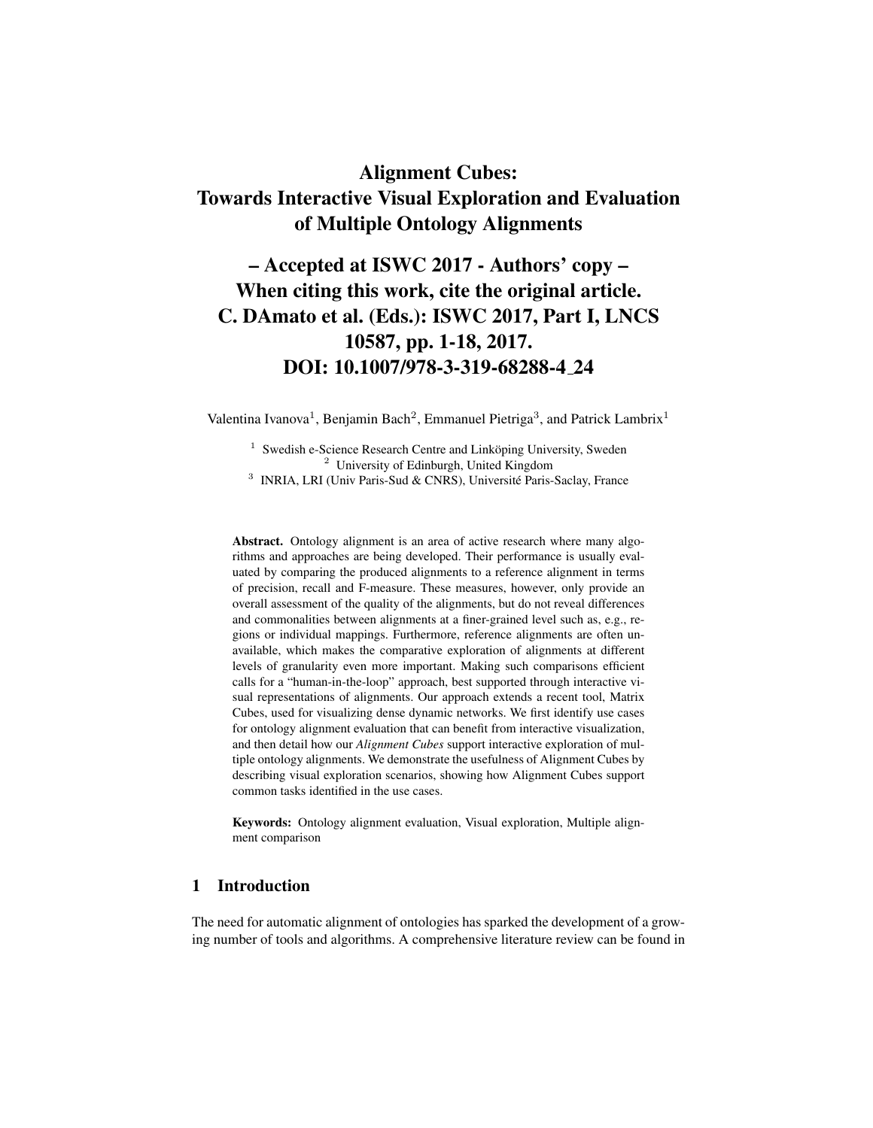### Alignment Cubes: Towards Interactive Visual Exploration and Evaluation of Multiple Ontology Alignments

## – Accepted at ISWC 2017 - Authors' copy – When citing this work, cite the original article. C. DAmato et al. (Eds.): ISWC 2017, Part I, LNCS 10587, pp. 1-18, 2017. DOI: 10.1007/978-3-319-68288-4 24

Valentina Ivanova<sup>1</sup>, Benjamin Bach<sup>2</sup>, Emmanuel Pietriga<sup>3</sup>, and Patrick Lambrix<sup>1</sup>

<sup>1</sup> Swedish e-Science Research Centre and Linköping University, Sweden <sup>2</sup> University of Edinburgh, United Kingdom <sup>3</sup> INRIA, LRI (Univ Paris-Sud & CNRS), Université Paris-Saclay, France

Abstract. Ontology alignment is an area of active research where many algorithms and approaches are being developed. Their performance is usually evaluated by comparing the produced alignments to a reference alignment in terms of precision, recall and F-measure. These measures, however, only provide an overall assessment of the quality of the alignments, but do not reveal differences and commonalities between alignments at a finer-grained level such as, e.g., regions or individual mappings. Furthermore, reference alignments are often unavailable, which makes the comparative exploration of alignments at different levels of granularity even more important. Making such comparisons efficient calls for a "human-in-the-loop" approach, best supported through interactive visual representations of alignments. Our approach extends a recent tool, Matrix Cubes, used for visualizing dense dynamic networks. We first identify use cases for ontology alignment evaluation that can benefit from interactive visualization, and then detail how our *Alignment Cubes* support interactive exploration of multiple ontology alignments. We demonstrate the usefulness of Alignment Cubes by describing visual exploration scenarios, showing how Alignment Cubes support common tasks identified in the use cases.

Keywords: Ontology alignment evaluation, Visual exploration, Multiple alignment comparison

#### 1 Introduction

The need for automatic alignment of ontologies has sparked the development of a growing number of tools and algorithms. A comprehensive literature review can be found in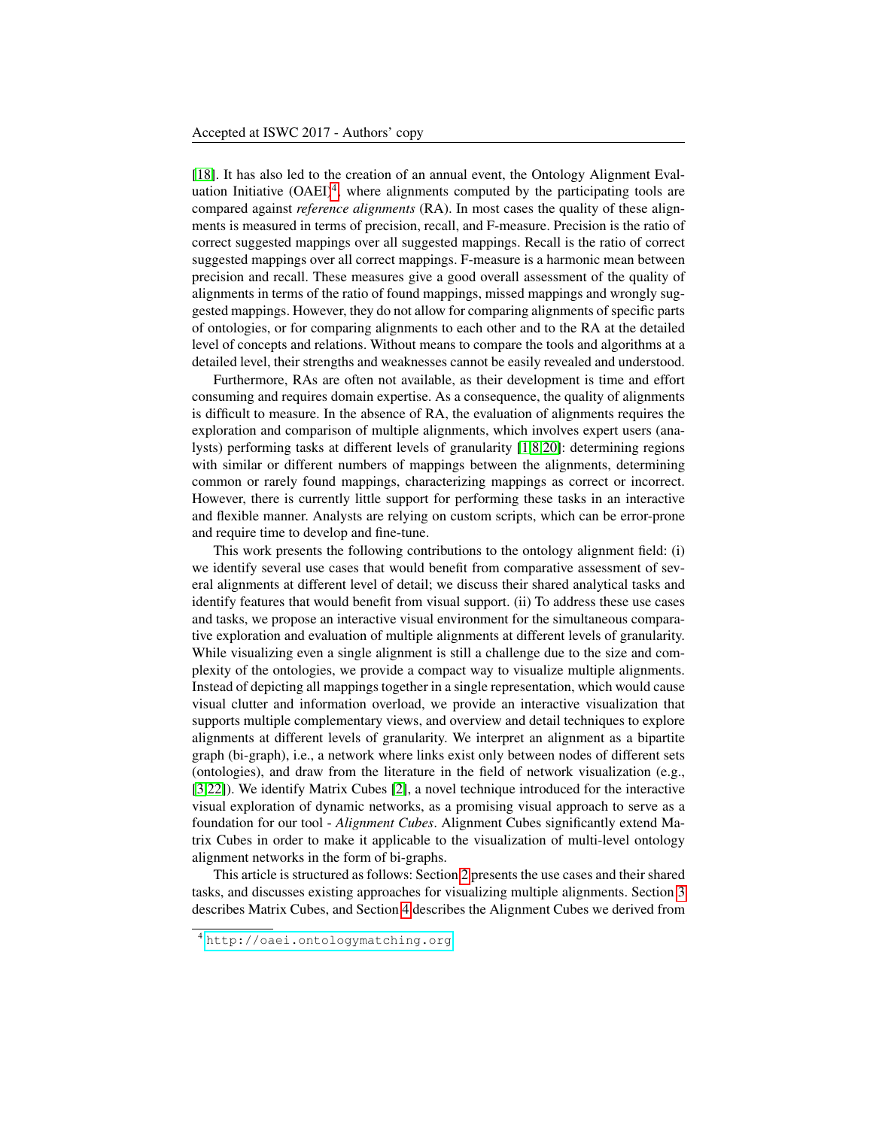[\[18\]](#page-16-0). It has also led to the creation of an annual event, the Ontology Alignment Eval-uation Initiative (OAEI)<sup>[4](#page-2-0)</sup>, where alignments computed by the participating tools are compared against *reference alignments* (RA). In most cases the quality of these alignments is measured in terms of precision, recall, and F-measure. Precision is the ratio of correct suggested mappings over all suggested mappings. Recall is the ratio of correct suggested mappings over all correct mappings. F-measure is a harmonic mean between precision and recall. These measures give a good overall assessment of the quality of alignments in terms of the ratio of found mappings, missed mappings and wrongly suggested mappings. However, they do not allow for comparing alignments of specific parts of ontologies, or for comparing alignments to each other and to the RA at the detailed level of concepts and relations. Without means to compare the tools and algorithms at a detailed level, their strengths and weaknesses cannot be easily revealed and understood.

Furthermore, RAs are often not available, as their development is time and effort consuming and requires domain expertise. As a consequence, the quality of alignments is difficult to measure. In the absence of RA, the evaluation of alignments requires the exploration and comparison of multiple alignments, which involves expert users (analysts) performing tasks at different levels of granularity [\[1](#page-16-1)[,8](#page-16-2)[,20\]](#page-16-3): determining regions with similar or different numbers of mappings between the alignments, determining common or rarely found mappings, characterizing mappings as correct or incorrect. However, there is currently little support for performing these tasks in an interactive and flexible manner. Analysts are relying on custom scripts, which can be error-prone and require time to develop and fine-tune.

This work presents the following contributions to the ontology alignment field: (i) we identify several use cases that would benefit from comparative assessment of several alignments at different level of detail; we discuss their shared analytical tasks and identify features that would benefit from visual support. (ii) To address these use cases and tasks, we propose an interactive visual environment for the simultaneous comparative exploration and evaluation of multiple alignments at different levels of granularity. While visualizing even a single alignment is still a challenge due to the size and complexity of the ontologies, we provide a compact way to visualize multiple alignments. Instead of depicting all mappings together in a single representation, which would cause visual clutter and information overload, we provide an interactive visualization that supports multiple complementary views, and overview and detail techniques to explore alignments at different levels of granularity. We interpret an alignment as a bipartite graph (bi-graph), i.e., a network where links exist only between nodes of different sets (ontologies), and draw from the literature in the field of network visualization (e.g., [\[3,](#page-16-4)[22\]](#page-17-0)). We identify Matrix Cubes [\[2\]](#page-16-5), a novel technique introduced for the interactive visual exploration of dynamic networks, as a promising visual approach to serve as a foundation for our tool - *Alignment Cubes*. Alignment Cubes significantly extend Matrix Cubes in order to make it applicable to the visualization of multi-level ontology alignment networks in the form of bi-graphs.

This article is structured as follows: Section [2](#page-3-0) presents the use cases and their shared tasks, and discusses existing approaches for visualizing multiple alignments. Section [3](#page-6-0) describes Matrix Cubes, and Section [4](#page-7-0) describes the Alignment Cubes we derived from

<span id="page-2-0"></span><sup>4</sup> <http://oaei.ontologymatching.org>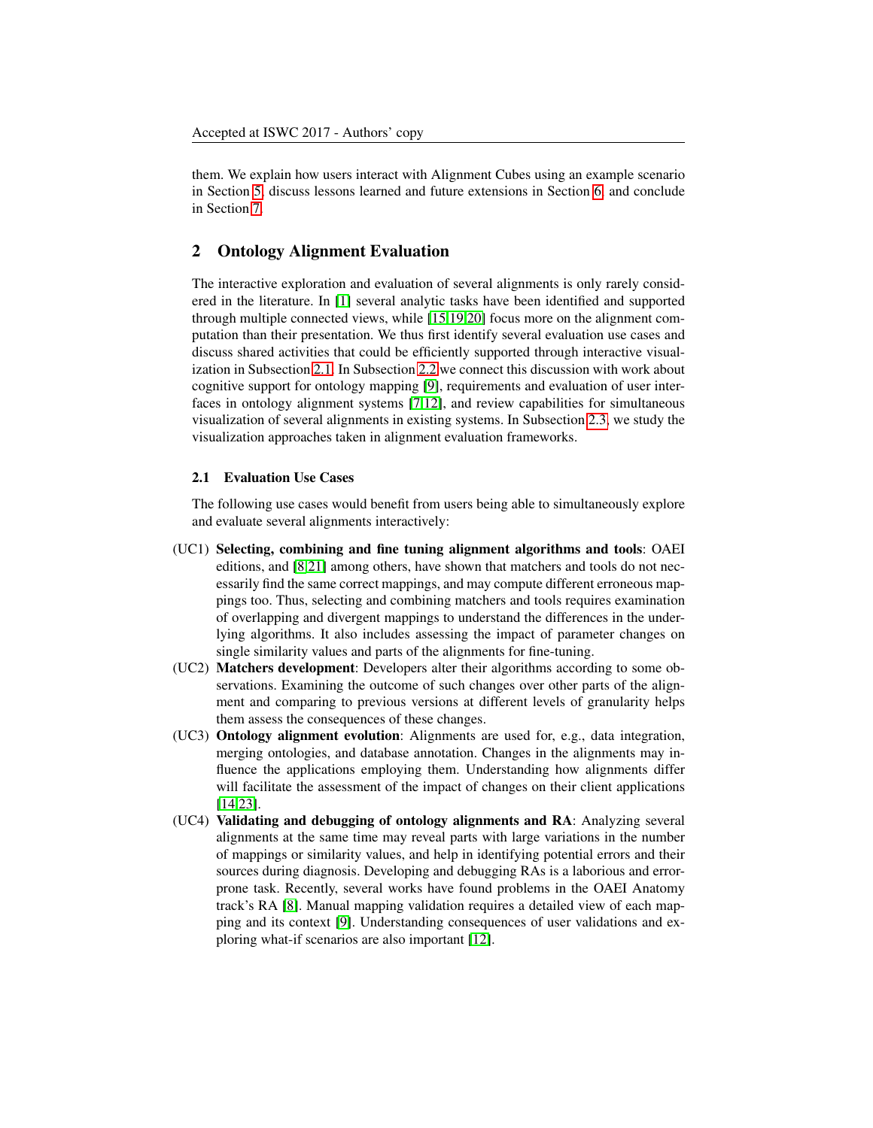them. We explain how users interact with Alignment Cubes using an example scenario in Section [5,](#page-9-0) discuss lessons learned and future extensions in Section [6,](#page-13-0) and conclude in Section [7.](#page-15-0)

#### <span id="page-3-0"></span>2 Ontology Alignment Evaluation

The interactive exploration and evaluation of several alignments is only rarely considered in the literature. In [\[1\]](#page-16-1) several analytic tasks have been identified and supported through multiple connected views, while [\[15](#page-16-6)[,19](#page-16-7)[,20\]](#page-16-3) focus more on the alignment computation than their presentation. We thus first identify several evaluation use cases and discuss shared activities that could be efficiently supported through interactive visualization in Subsection [2.1.](#page-3-1) In Subsection [2.2](#page-4-0) we connect this discussion with work about cognitive support for ontology mapping [\[9\]](#page-16-8), requirements and evaluation of user interfaces in ontology alignment systems [\[7](#page-16-9)[,12\]](#page-16-10), and review capabilities for simultaneous visualization of several alignments in existing systems. In Subsection [2.3,](#page-5-0) we study the visualization approaches taken in alignment evaluation frameworks.

#### <span id="page-3-1"></span>2.1 Evaluation Use Cases

The following use cases would benefit from users being able to simultaneously explore and evaluate several alignments interactively:

- (UC1) Selecting, combining and fine tuning alignment algorithms and tools: OAEI editions, and [\[8,](#page-16-2)[21\]](#page-17-1) among others, have shown that matchers and tools do not necessarily find the same correct mappings, and may compute different erroneous mappings too. Thus, selecting and combining matchers and tools requires examination of overlapping and divergent mappings to understand the differences in the underlying algorithms. It also includes assessing the impact of parameter changes on single similarity values and parts of the alignments for fine-tuning.
- (UC2) Matchers development: Developers alter their algorithms according to some observations. Examining the outcome of such changes over other parts of the alignment and comparing to previous versions at different levels of granularity helps them assess the consequences of these changes.
- (UC3) Ontology alignment evolution: Alignments are used for, e.g., data integration, merging ontologies, and database annotation. Changes in the alignments may influence the applications employing them. Understanding how alignments differ will facilitate the assessment of the impact of changes on their client applications [\[14](#page-16-11)[,23\]](#page-17-2).
- (UC4) Validating and debugging of ontology alignments and RA: Analyzing several alignments at the same time may reveal parts with large variations in the number of mappings or similarity values, and help in identifying potential errors and their sources during diagnosis. Developing and debugging RAs is a laborious and errorprone task. Recently, several works have found problems in the OAEI Anatomy track's RA [\[8\]](#page-16-2). Manual mapping validation requires a detailed view of each mapping and its context [\[9\]](#page-16-8). Understanding consequences of user validations and exploring what-if scenarios are also important [\[12\]](#page-16-10).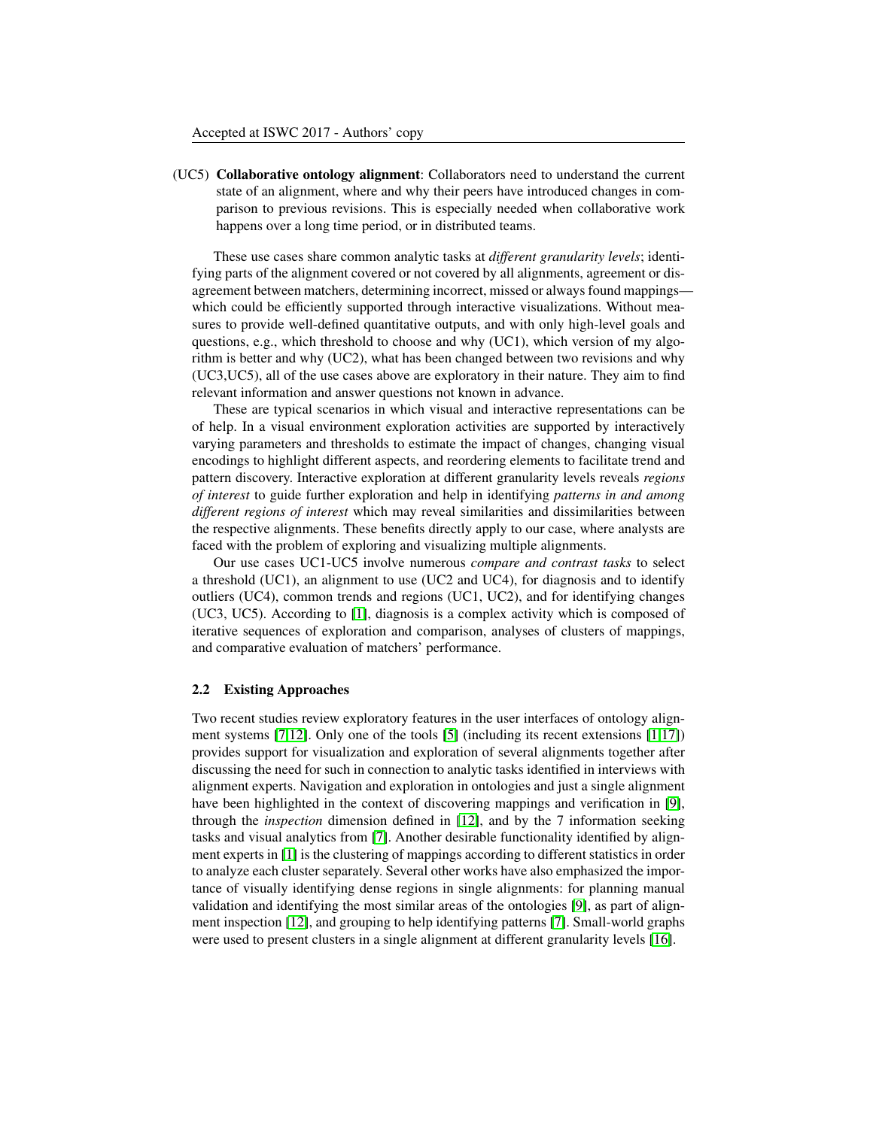(UC5) Collaborative ontology alignment: Collaborators need to understand the current state of an alignment, where and why their peers have introduced changes in comparison to previous revisions. This is especially needed when collaborative work happens over a long time period, or in distributed teams.

These use cases share common analytic tasks at *different granularity levels*; identifying parts of the alignment covered or not covered by all alignments, agreement or disagreement between matchers, determining incorrect, missed or always found mappings which could be efficiently supported through interactive visualizations. Without measures to provide well-defined quantitative outputs, and with only high-level goals and questions, e.g., which threshold to choose and why  $(UC1)$ , which version of my algorithm is better and why (UC2), what has been changed between two revisions and why (UC3,UC5), all of the use cases above are exploratory in their nature. They aim to find relevant information and answer questions not known in advance.

These are typical scenarios in which visual and interactive representations can be of help. In a visual environment exploration activities are supported by interactively varying parameters and thresholds to estimate the impact of changes, changing visual encodings to highlight different aspects, and reordering elements to facilitate trend and pattern discovery. Interactive exploration at different granularity levels reveals *regions of interest* to guide further exploration and help in identifying *patterns in and among different regions of interest* which may reveal similarities and dissimilarities between the respective alignments. These benefits directly apply to our case, where analysts are faced with the problem of exploring and visualizing multiple alignments.

Our use cases UC1-UC5 involve numerous *compare and contrast tasks* to select a threshold (UC1), an alignment to use (UC2 and UC4), for diagnosis and to identify outliers (UC4), common trends and regions (UC1, UC2), and for identifying changes (UC3, UC5). According to [\[1\]](#page-16-1), diagnosis is a complex activity which is composed of iterative sequences of exploration and comparison, analyses of clusters of mappings, and comparative evaluation of matchers' performance.

#### <span id="page-4-0"></span>2.2 Existing Approaches

Two recent studies review exploratory features in the user interfaces of ontology alignment systems [\[7](#page-16-9)[,12\]](#page-16-10). Only one of the tools [\[5\]](#page-16-12) (including its recent extensions [\[1](#page-16-1)[,17\]](#page-16-13)) provides support for visualization and exploration of several alignments together after discussing the need for such in connection to analytic tasks identified in interviews with alignment experts. Navigation and exploration in ontologies and just a single alignment have been highlighted in the context of discovering mappings and verification in [\[9\]](#page-16-8), through the *inspection* dimension defined in [\[12\]](#page-16-10), and by the 7 information seeking tasks and visual analytics from [\[7\]](#page-16-9). Another desirable functionality identified by alignment experts in [\[1\]](#page-16-1) is the clustering of mappings according to different statistics in order to analyze each cluster separately. Several other works have also emphasized the importance of visually identifying dense regions in single alignments: for planning manual validation and identifying the most similar areas of the ontologies [\[9\]](#page-16-8), as part of alignment inspection [\[12\]](#page-16-10), and grouping to help identifying patterns [\[7\]](#page-16-9). Small-world graphs were used to present clusters in a single alignment at different granularity levels [\[16\]](#page-16-14).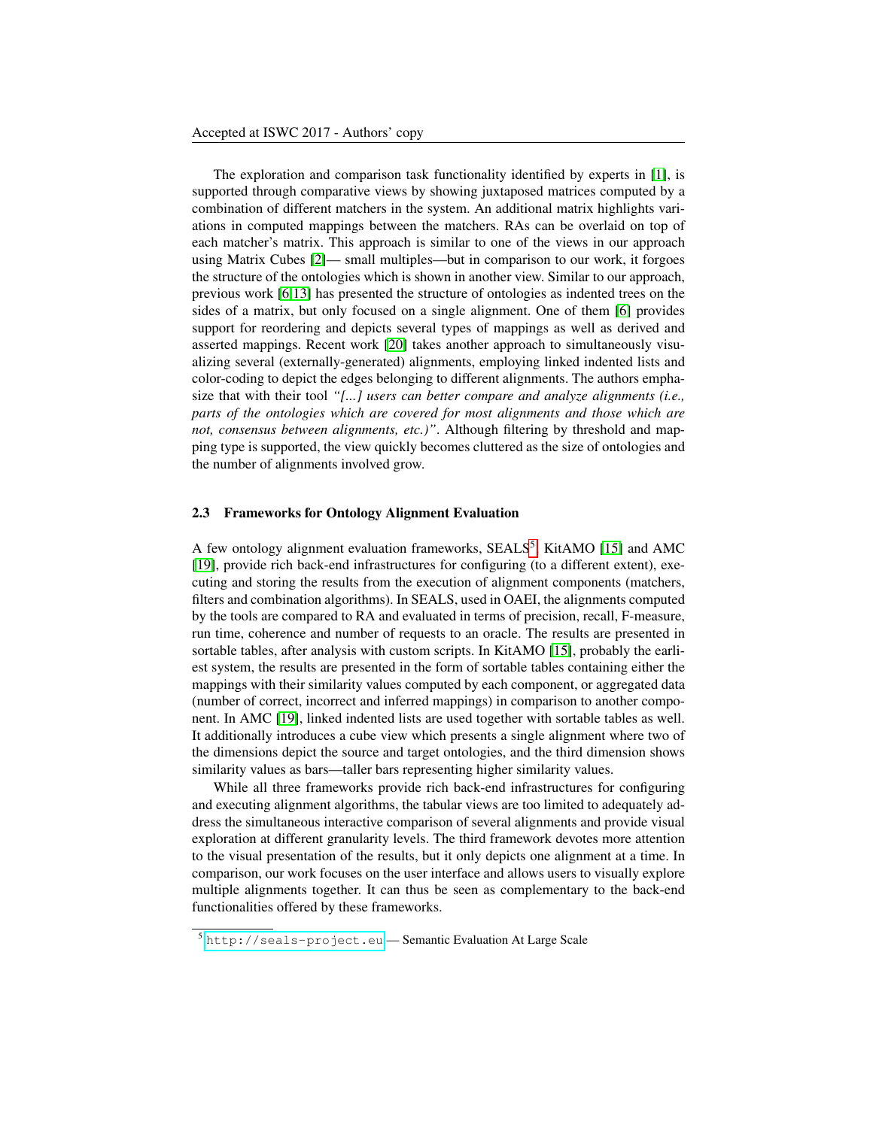The exploration and comparison task functionality identified by experts in [\[1\]](#page-16-1), is supported through comparative views by showing juxtaposed matrices computed by a combination of different matchers in the system. An additional matrix highlights variations in computed mappings between the matchers. RAs can be overlaid on top of each matcher's matrix. This approach is similar to one of the views in our approach using Matrix Cubes [\[2\]](#page-16-5)— small multiples—but in comparison to our work, it forgoes the structure of the ontologies which is shown in another view. Similar to our approach, previous work [\[6](#page-16-15)[,13\]](#page-16-16) has presented the structure of ontologies as indented trees on the sides of a matrix, but only focused on a single alignment. One of them [\[6\]](#page-16-15) provides support for reordering and depicts several types of mappings as well as derived and asserted mappings. Recent work [\[20\]](#page-16-3) takes another approach to simultaneously visualizing several (externally-generated) alignments, employing linked indented lists and color-coding to depict the edges belonging to different alignments. The authors emphasize that with their tool *"[...] users can better compare and analyze alignments (i.e., parts of the ontologies which are covered for most alignments and those which are not, consensus between alignments, etc.)"*. Although filtering by threshold and mapping type is supported, the view quickly becomes cluttered as the size of ontologies and the number of alignments involved grow.

#### <span id="page-5-0"></span>2.3 Frameworks for Ontology Alignment Evaluation

A few ontology alignment evaluation frameworks, SEALS<sup>[5](#page-5-1)</sup>, KitAMO [\[15\]](#page-16-6) and AMC [\[19\]](#page-16-7), provide rich back-end infrastructures for configuring (to a different extent), executing and storing the results from the execution of alignment components (matchers, filters and combination algorithms). In SEALS, used in OAEI, the alignments computed by the tools are compared to RA and evaluated in terms of precision, recall, F-measure, run time, coherence and number of requests to an oracle. The results are presented in sortable tables, after analysis with custom scripts. In KitAMO [\[15\]](#page-16-6), probably the earliest system, the results are presented in the form of sortable tables containing either the mappings with their similarity values computed by each component, or aggregated data (number of correct, incorrect and inferred mappings) in comparison to another component. In AMC [\[19\]](#page-16-7), linked indented lists are used together with sortable tables as well. It additionally introduces a cube view which presents a single alignment where two of the dimensions depict the source and target ontologies, and the third dimension shows similarity values as bars—taller bars representing higher similarity values.

While all three frameworks provide rich back-end infrastructures for configuring and executing alignment algorithms, the tabular views are too limited to adequately address the simultaneous interactive comparison of several alignments and provide visual exploration at different granularity levels. The third framework devotes more attention to the visual presentation of the results, but it only depicts one alignment at a time. In comparison, our work focuses on the user interface and allows users to visually explore multiple alignments together. It can thus be seen as complementary to the back-end functionalities offered by these frameworks.

<span id="page-5-1"></span><sup>5</sup> <http://seals-project.eu> — Semantic Evaluation At Large Scale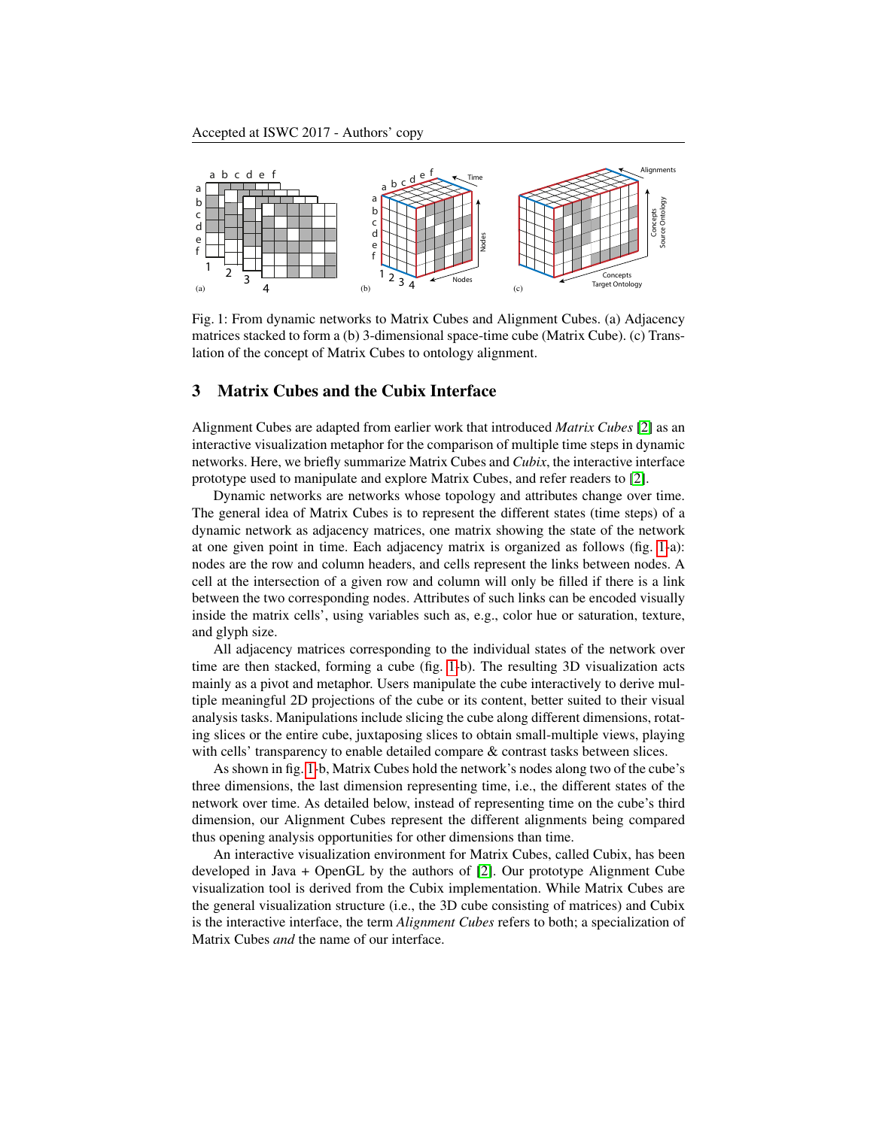<span id="page-6-1"></span>

Fig. 1: From dynamic networks to Matrix Cubes and Alignment Cubes. (a) Adjacency matrices stacked to form a (b) 3-dimensional space-time cube (Matrix Cube). (c) Translation of the concept of Matrix Cubes to ontology alignment.

#### <span id="page-6-0"></span>3 Matrix Cubes and the Cubix Interface

Alignment Cubes are adapted from earlier work that introduced *Matrix Cubes* [\[2\]](#page-16-5) as an interactive visualization metaphor for the comparison of multiple time steps in dynamic networks. Here, we briefly summarize Matrix Cubes and *Cubix*, the interactive interface prototype used to manipulate and explore Matrix Cubes, and refer readers to [\[2\]](#page-16-5).

Dynamic networks are networks whose topology and attributes change over time. The general idea of Matrix Cubes is to represent the different states (time steps) of a dynamic network as adjacency matrices, one matrix showing the state of the network at one given point in time. Each adjacency matrix is organized as follows (fig. [1-](#page-6-1)a): nodes are the row and column headers, and cells represent the links between nodes. A cell at the intersection of a given row and column will only be filled if there is a link between the two corresponding nodes. Attributes of such links can be encoded visually inside the matrix cells', using variables such as, e.g., color hue or saturation, texture, and glyph size.

All adjacency matrices corresponding to the individual states of the network over time are then stacked, forming a cube (fig. [1-](#page-6-1)b). The resulting 3D visualization acts mainly as a pivot and metaphor. Users manipulate the cube interactively to derive multiple meaningful 2D projections of the cube or its content, better suited to their visual analysis tasks. Manipulations include slicing the cube along different dimensions, rotating slices or the entire cube, juxtaposing slices to obtain small-multiple views, playing with cells' transparency to enable detailed compare & contrast tasks between slices.

As shown in fig. [1-](#page-6-1)b, Matrix Cubes hold the network's nodes along two of the cube's three dimensions, the last dimension representing time, i.e., the different states of the network over time. As detailed below, instead of representing time on the cube's third dimension, our Alignment Cubes represent the different alignments being compared thus opening analysis opportunities for other dimensions than time.

An interactive visualization environment for Matrix Cubes, called Cubix, has been developed in Java + OpenGL by the authors of [\[2\]](#page-16-5). Our prototype Alignment Cube visualization tool is derived from the Cubix implementation. While Matrix Cubes are the general visualization structure (i.e., the 3D cube consisting of matrices) and Cubix is the interactive interface, the term *Alignment Cubes* refers to both; a specialization of Matrix Cubes *and* the name of our interface.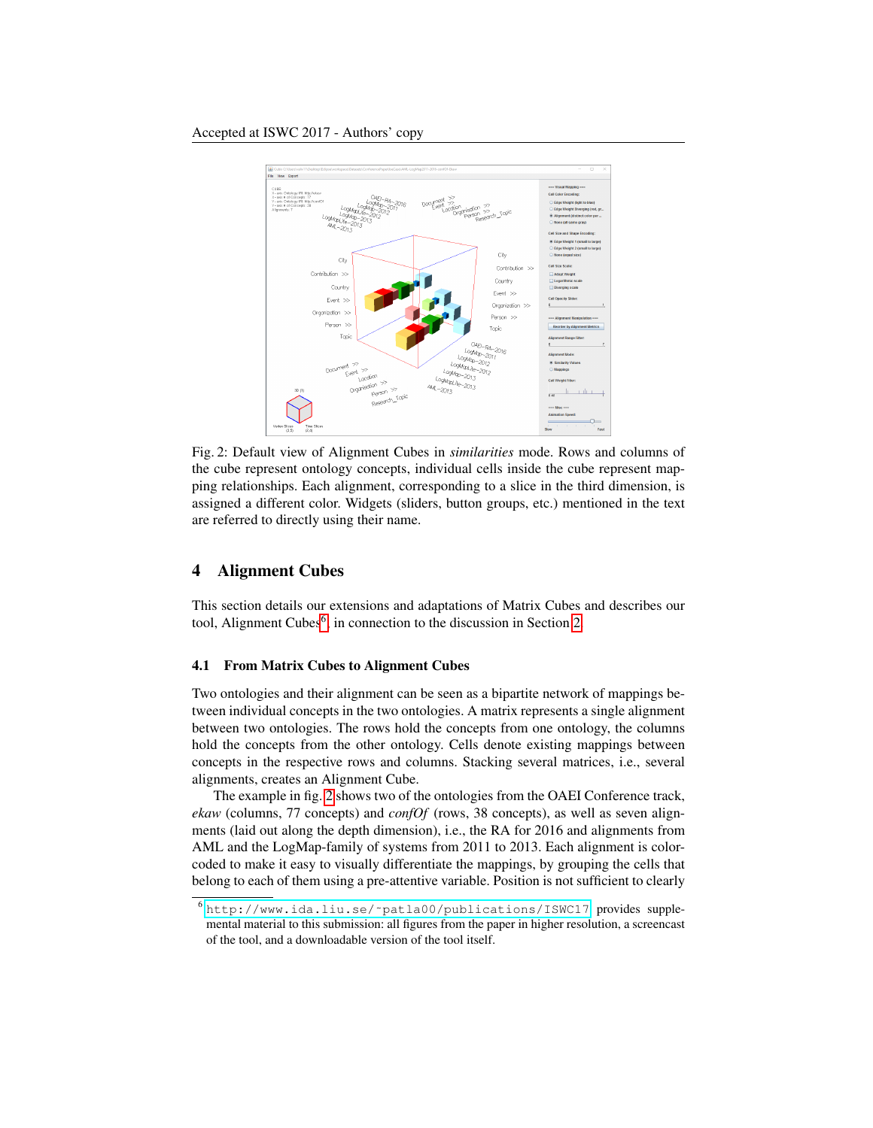<span id="page-7-2"></span>

Fig. 2: Default view of Alignment Cubes in *similarities* mode. Rows and columns of the cube represent ontology concepts, individual cells inside the cube represent mapping relationships. Each alignment, corresponding to a slice in the third dimension, is assigned a different color. Widgets (sliders, button groups, etc.) mentioned in the text are referred to directly using their name.

#### <span id="page-7-0"></span>4 Alignment Cubes

This section details our extensions and adaptations of Matrix Cubes and describes our tool, Alignment Cubes<sup>[6](#page-7-1)</sup>, in connection to the discussion in Section [2.](#page-3-0)

#### 4.1 From Matrix Cubes to Alignment Cubes

Two ontologies and their alignment can be seen as a bipartite network of mappings between individual concepts in the two ontologies. A matrix represents a single alignment between two ontologies. The rows hold the concepts from one ontology, the columns hold the concepts from the other ontology. Cells denote existing mappings between concepts in the respective rows and columns. Stacking several matrices, i.e., several alignments, creates an Alignment Cube.

The example in fig. [2](#page-7-2) shows two of the ontologies from the OAEI Conference track, *ekaw* (columns, 77 concepts) and *confOf* (rows, 38 concepts), as well as seven alignments (laid out along the depth dimension), i.e., the RA for 2016 and alignments from AML and the LogMap-family of systems from 2011 to 2013. Each alignment is colorcoded to make it easy to visually differentiate the mappings, by grouping the cells that belong to each of them using a pre-attentive variable. Position is not sufficient to clearly

<span id="page-7-1"></span><sup>6</sup> [http://www.ida.liu.se/˜patla00/publications/ISWC17](http://www.ida.liu.se/~patla00/publications/ISWC17) provides supplemental material to this submission: all figures from the paper in higher resolution, a screencast of the tool, and a downloadable version of the tool itself.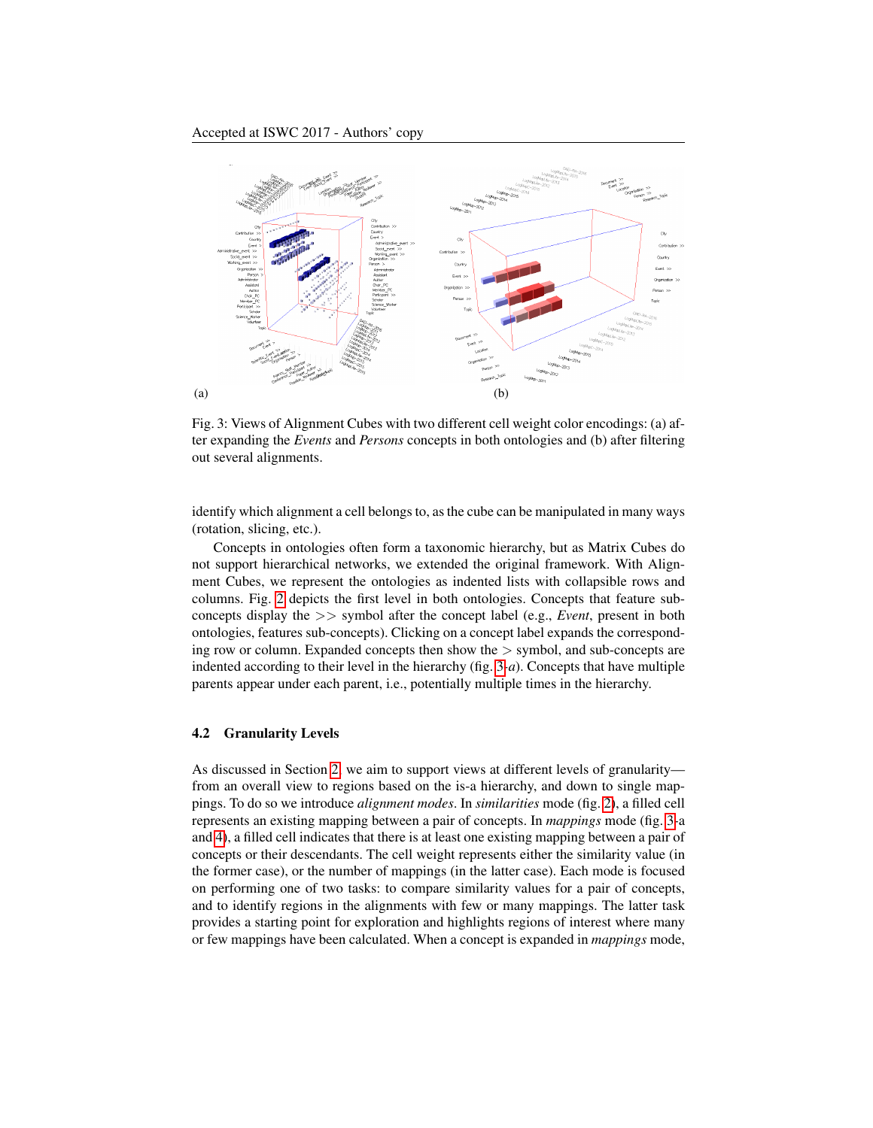<span id="page-8-0"></span>

Fig. 3: Views of Alignment Cubes with two different cell weight color encodings: (a) after expanding the *Events* and *Persons* concepts in both ontologies and (b) after filtering out several alignments.

identify which alignment a cell belongs to, as the cube can be manipulated in many ways (rotation, slicing, etc.).

Concepts in ontologies often form a taxonomic hierarchy, but as Matrix Cubes do not support hierarchical networks, we extended the original framework. With Alignment Cubes, we represent the ontologies as indented lists with collapsible rows and columns. Fig. [2](#page-7-2) depicts the first level in both ontologies. Concepts that feature subconcepts display the >> symbol after the concept label (e.g., *Event*, present in both ontologies, features sub-concepts). Clicking on a concept label expands the corresponding row or column. Expanded concepts then show the > symbol, and sub-concepts are indented according to their level in the hierarchy (fig. [3-](#page-8-0)*a*). Concepts that have multiple parents appear under each parent, i.e., potentially multiple times in the hierarchy.

#### 4.2 Granularity Levels

As discussed in Section [2,](#page-3-0) we aim to support views at different levels of granularity from an overall view to regions based on the is-a hierarchy, and down to single mappings. To do so we introduce *alignment modes*. In *similarities* mode (fig. [2\)](#page-7-2), a filled cell represents an existing mapping between a pair of concepts. In *mappings* mode (fig. [3-](#page-8-0)a and [4\)](#page-10-0), a filled cell indicates that there is at least one existing mapping between a pair of concepts or their descendants. The cell weight represents either the similarity value (in the former case), or the number of mappings (in the latter case). Each mode is focused on performing one of two tasks: to compare similarity values for a pair of concepts, and to identify regions in the alignments with few or many mappings. The latter task provides a starting point for exploration and highlights regions of interest where many or few mappings have been calculated. When a concept is expanded in *mappings* mode,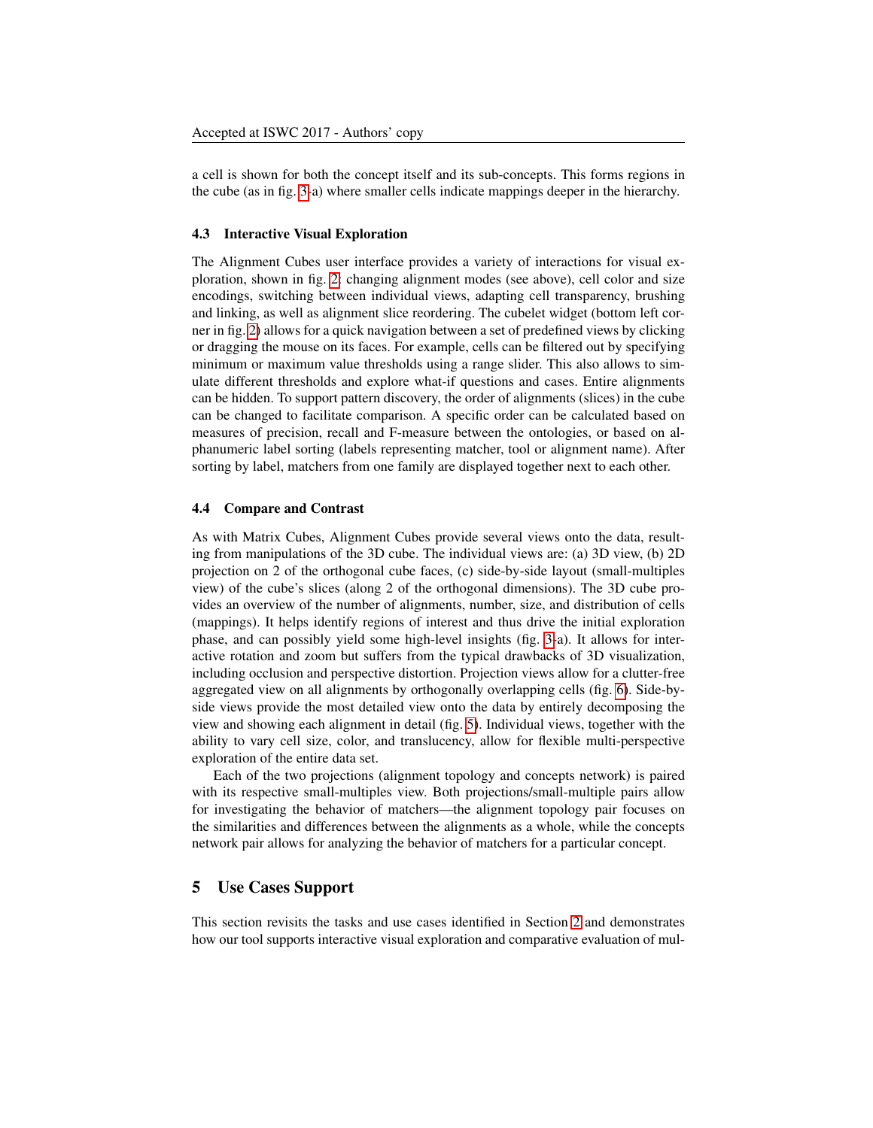a cell is shown for both the concept itself and its sub-concepts. This forms regions in the cube (as in fig. [3-](#page-8-0)a) where smaller cells indicate mappings deeper in the hierarchy.

#### 4.3 Interactive Visual Exploration

The Alignment Cubes user interface provides a variety of interactions for visual exploration, shown in fig. [2:](#page-7-2) changing alignment modes (see above), cell color and size encodings, switching between individual views, adapting cell transparency, brushing and linking, as well as alignment slice reordering. The cubelet widget (bottom left corner in fig. [2\)](#page-7-2) allows for a quick navigation between a set of predefined views by clicking or dragging the mouse on its faces. For example, cells can be filtered out by specifying minimum or maximum value thresholds using a range slider. This also allows to simulate different thresholds and explore what-if questions and cases. Entire alignments can be hidden. To support pattern discovery, the order of alignments (slices) in the cube can be changed to facilitate comparison. A specific order can be calculated based on measures of precision, recall and F-measure between the ontologies, or based on alphanumeric label sorting (labels representing matcher, tool or alignment name). After sorting by label, matchers from one family are displayed together next to each other.

#### 4.4 Compare and Contrast

As with Matrix Cubes, Alignment Cubes provide several views onto the data, resulting from manipulations of the 3D cube. The individual views are: (a) 3D view, (b) 2D projection on 2 of the orthogonal cube faces, (c) side-by-side layout (small-multiples view) of the cube's slices (along 2 of the orthogonal dimensions). The 3D cube provides an overview of the number of alignments, number, size, and distribution of cells (mappings). It helps identify regions of interest and thus drive the initial exploration phase, and can possibly yield some high-level insights (fig. [3-](#page-8-0)a). It allows for interactive rotation and zoom but suffers from the typical drawbacks of 3D visualization, including occlusion and perspective distortion. Projection views allow for a clutter-free aggregated view on all alignments by orthogonally overlapping cells (fig. [6\)](#page-13-1). Side-byside views provide the most detailed view onto the data by entirely decomposing the view and showing each alignment in detail (fig. [5\)](#page-12-0). Individual views, together with the ability to vary cell size, color, and translucency, allow for flexible multi-perspective exploration of the entire data set.

Each of the two projections (alignment topology and concepts network) is paired with its respective small-multiples view. Both projections/small-multiple pairs allow for investigating the behavior of matchers—the alignment topology pair focuses on the similarities and differences between the alignments as a whole, while the concepts network pair allows for analyzing the behavior of matchers for a particular concept.

#### <span id="page-9-0"></span>5 Use Cases Support

This section revisits the tasks and use cases identified in Section [2](#page-3-0) and demonstrates how our tool supports interactive visual exploration and comparative evaluation of mul-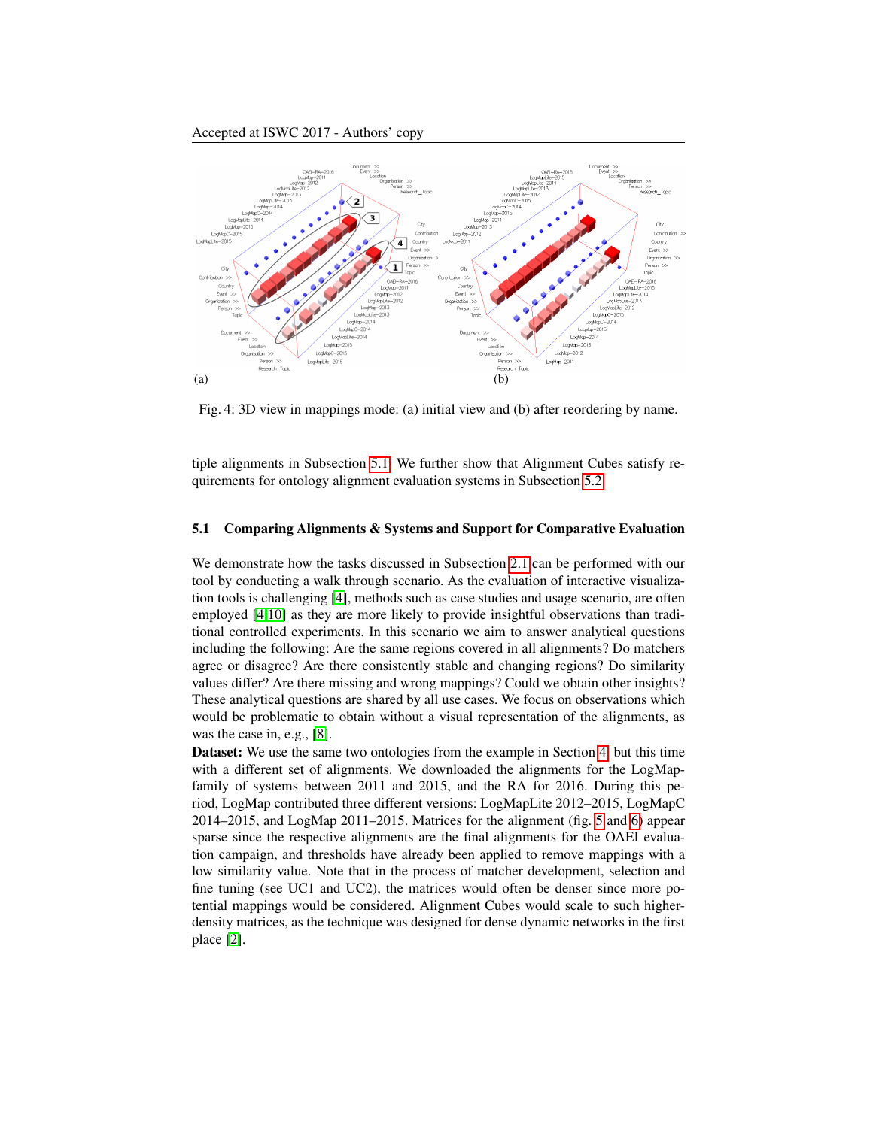#### Accepted at ISWC 2017 - Authors' copy

<span id="page-10-0"></span>

Fig. 4: 3D view in mappings mode: (a) initial view and (b) after reordering by name.

tiple alignments in Subsection [5.1.](#page-10-1) We further show that Alignment Cubes satisfy requirements for ontology alignment evaluation systems in Subsection [5.2.](#page-13-2)

#### <span id="page-10-1"></span>5.1 Comparing Alignments & Systems and Support for Comparative Evaluation

We demonstrate how the tasks discussed in Subsection [2.1](#page-3-1) can be performed with our tool by conducting a walk through scenario. As the evaluation of interactive visualization tools is challenging [\[4\]](#page-16-17), methods such as case studies and usage scenario, are often employed [\[4](#page-16-17)[,10\]](#page-16-18) as they are more likely to provide insightful observations than traditional controlled experiments. In this scenario we aim to answer analytical questions including the following: Are the same regions covered in all alignments? Do matchers agree or disagree? Are there consistently stable and changing regions? Do similarity values differ? Are there missing and wrong mappings? Could we obtain other insights? These analytical questions are shared by all use cases. We focus on observations which would be problematic to obtain without a visual representation of the alignments, as was the case in, e.g., [\[8\]](#page-16-2).

Dataset: We use the same two ontologies from the example in Section [4,](#page-7-0) but this time with a different set of alignments. We downloaded the alignments for the LogMapfamily of systems between 2011 and 2015, and the RA for 2016. During this period, LogMap contributed three different versions: LogMapLite 2012–2015, LogMapC 2014–2015, and LogMap 2011–2015. Matrices for the alignment (fig. [5](#page-12-0) and [6\)](#page-13-1) appear sparse since the respective alignments are the final alignments for the OAEI evaluation campaign, and thresholds have already been applied to remove mappings with a low similarity value. Note that in the process of matcher development, selection and fine tuning (see UC1 and UC2), the matrices would often be denser since more potential mappings would be considered. Alignment Cubes would scale to such higherdensity matrices, as the technique was designed for dense dynamic networks in the first place [\[2\]](#page-16-5).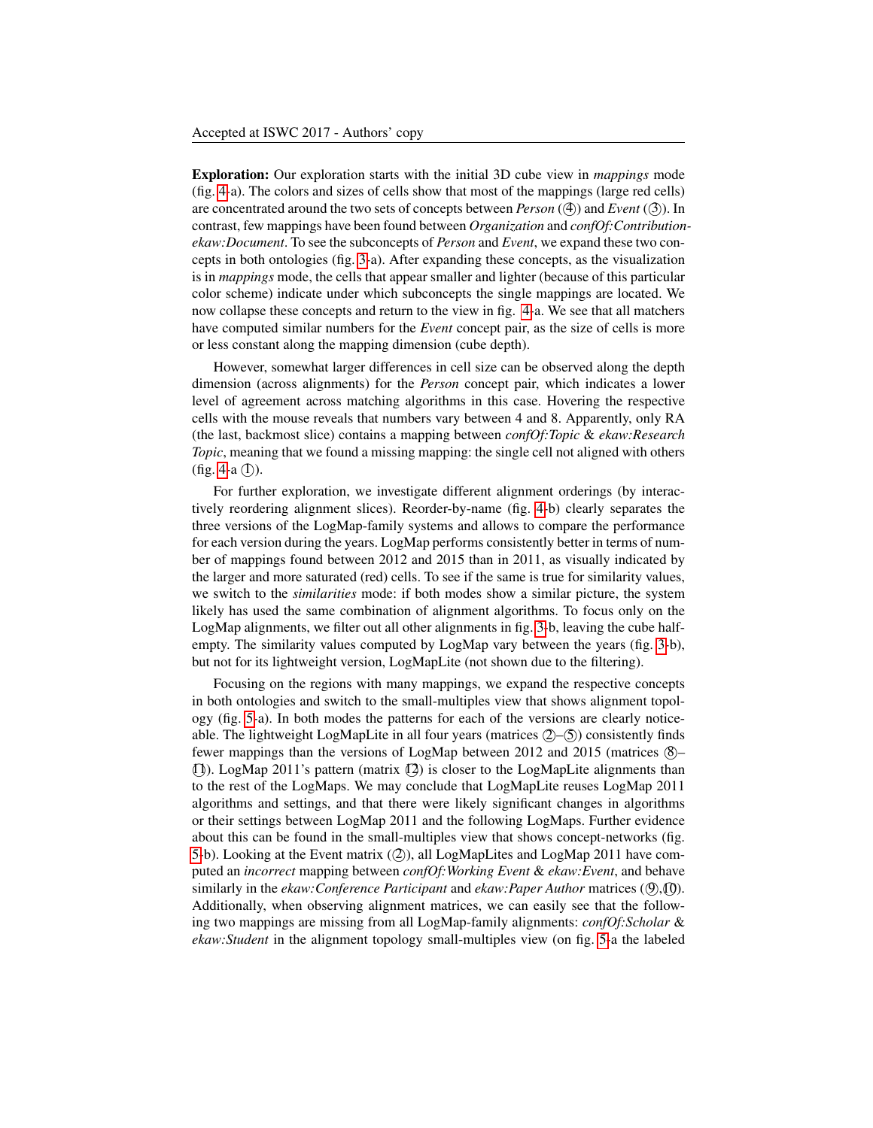Exploration: Our exploration starts with the initial 3D cube view in *mappings* mode (fig. [4-](#page-10-0)a). The colors and sizes of cells show that most of the mappings (large red cells) are concentrated around the two sets of concepts between *Person* ((4)) and *Event* ((3)). In contrast, few mappings have been found between *Organization* and *confOf:Contributionekaw:Document*. To see the subconcepts of *Person* and *Event*, we expand these two concepts in both ontologies (fig. [3-](#page-8-0)a). After expanding these concepts, as the visualization is in *mappings* mode, the cells that appear smaller and lighter (because of this particular color scheme) indicate under which subconcepts the single mappings are located. We now collapse these concepts and return to the view in fig. [4-](#page-10-0)a. We see that all matchers have computed similar numbers for the *Event* concept pair, as the size of cells is more or less constant along the mapping dimension (cube depth).

However, somewhat larger differences in cell size can be observed along the depth dimension (across alignments) for the *Person* concept pair, which indicates a lower level of agreement across matching algorithms in this case. Hovering the respective cells with the mouse reveals that numbers vary between 4 and 8. Apparently, only RA (the last, backmost slice) contains a mapping between *confOf:Topic* & *ekaw:Research Topic*, meaning that we found a missing mapping: the single cell not aligned with others  $(fig. 4-a(I)).$  $(fig. 4-a(I)).$  $(fig. 4-a(I)).$ 

For further exploration, we investigate different alignment orderings (by interactively reordering alignment slices). Reorder-by-name (fig. [4-](#page-10-0)b) clearly separates the three versions of the LogMap-family systems and allows to compare the performance for each version during the years. LogMap performs consistently better in terms of number of mappings found between 2012 and 2015 than in 2011, as visually indicated by the larger and more saturated (red) cells. To see if the same is true for similarity values, we switch to the *similarities* mode: if both modes show a similar picture, the system likely has used the same combination of alignment algorithms. To focus only on the LogMap alignments, we filter out all other alignments in fig. [3-](#page-8-0)b, leaving the cube halfempty. The similarity values computed by LogMap vary between the years (fig. [3-](#page-8-0)b), but not for its lightweight version, LogMapLite (not shown due to the filtering).

Focusing on the regions with many mappings, we expand the respective concepts in both ontologies and switch to the small-multiples view that shows alignment topology (fig. [5-](#page-12-0)a). In both modes the patterns for each of the versions are clearly noticeable. The lightweight LogMapLite in all four years (matrices  $(2-5)$ ) consistently finds fewer mappings than the versions of LogMap between 2012 and 2015 (matrices  $\otimes$ ) 11 ). LogMap 2011's pattern (matrix 12 ) is closer to the LogMapLite alignments than to the rest of the LogMaps. We may conclude that LogMapLite reuses LogMap 2011 algorithms and settings, and that there were likely significant changes in algorithms or their settings between LogMap 2011 and the following LogMaps. Further evidence about this can be found in the small-multiples view that shows concept-networks (fig. [5-](#page-12-0)b). Looking at the Event matrix (2)), all LogMapLites and LogMap 2011 have computed an *incorrect* mapping between *confOf:Working Event* & *ekaw:Event*, and behave similarly in the *ekaw:Conference Participant* and *ekaw:Paper Author* matrices ((9),(0). Additionally, when observing alignment matrices, we can easily see that the following two mappings are missing from all LogMap-family alignments: *confOf:Scholar* & *ekaw:Student* in the alignment topology small-multiples view (on fig. [5-](#page-12-0)a the labeled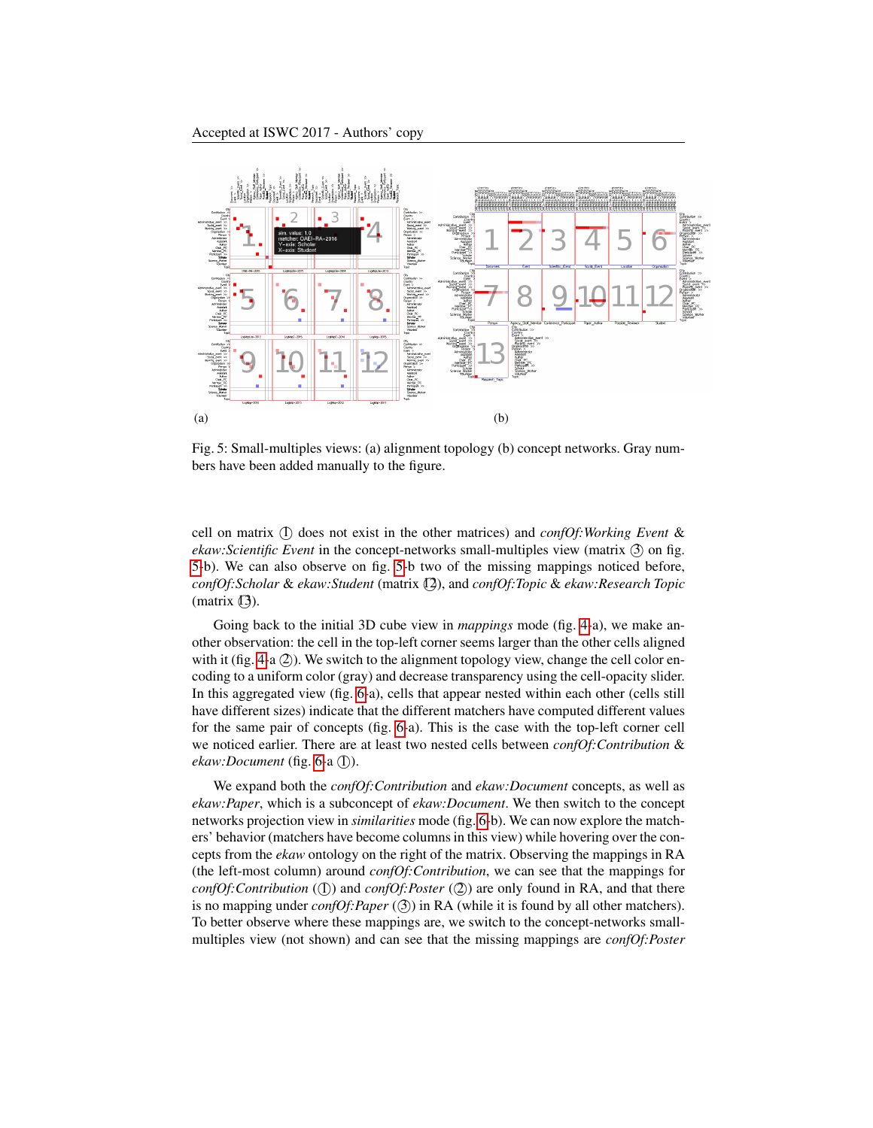<span id="page-12-0"></span>

Fig. 5: Small-multiples views: (a) alignment topology (b) concept networks. Gray numbers have been added manually to the figure.

cell on matrix (I) does not exist in the other matrices) and *confOf:Working Event* & *ekaw:Scientific Event* in the concept-networks small-multiples view (matrix 3) on fig. [5-](#page-12-0)b). We can also observe on fig. [5-](#page-12-0)b two of the missing mappings noticed before, *confOf:Scholar* & *ekaw:Student* (matrix 12 ), and *confOf:Topic* & *ekaw:Research Topic*  $(matrix \textcircled{1})$ .

Going back to the initial 3D cube view in *mappings* mode (fig. [4-](#page-10-0)a), we make another observation: the cell in the top-left corner seems larger than the other cells aligned with it (fig. [4-](#page-10-0)a  $(2)$ ). We switch to the alignment topology view, change the cell color encoding to a uniform color (gray) and decrease transparency using the cell-opacity slider. In this aggregated view (fig. [6-](#page-13-1)a), cells that appear nested within each other (cells still have different sizes) indicate that the different matchers have computed different values for the same pair of concepts (fig. [6-](#page-13-1)a). This is the case with the top-left corner cell we noticed earlier. There are at least two nested cells between *confOf:Contribution* &  $ekaw:Document$  (fig. [6-](#page-13-1)a  $(1)$ ).

We expand both the *confOf:Contribution* and *ekaw:Document* concepts, as well as *ekaw:Paper*, which is a subconcept of *ekaw:Document*. We then switch to the concept networks projection view in *similarities* mode (fig. [6-](#page-13-1)b). We can now explore the matchers' behavior (matchers have become columns in this view) while hovering over the concepts from the *ekaw* ontology on the right of the matrix. Observing the mappings in RA (the left-most column) around *confOf:Contribution*, we can see that the mappings for *confOf:Contribution* ((I)) and *confOf:Poster* (2)) are only found in RA, and that there is no mapping under *confOf:Paper*  $(\text{3})$  in RA (while it is found by all other matchers). To better observe where these mappings are, we switch to the concept-networks smallmultiples view (not shown) and can see that the missing mappings are *confOf:Poster*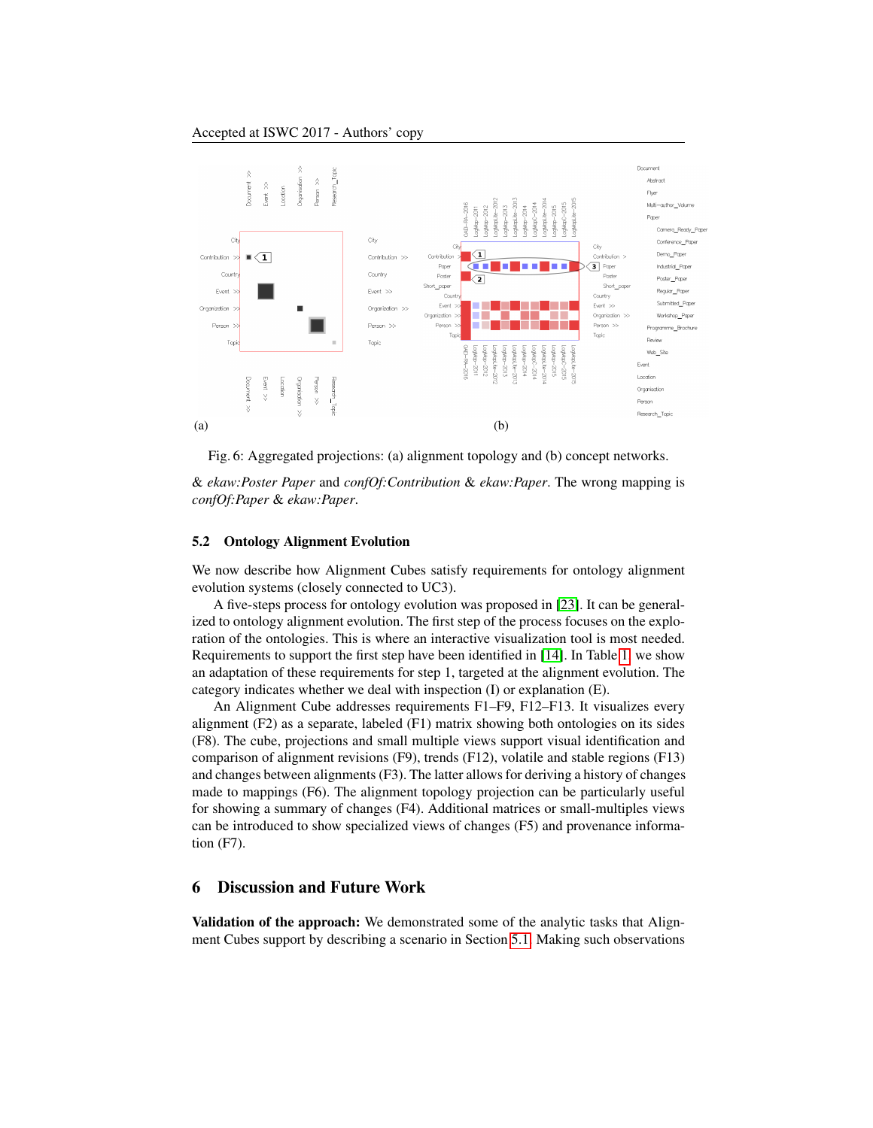#### Accepted at ISWC 2017 - Authors' copy

<span id="page-13-1"></span>

Fig. 6: Aggregated projections: (a) alignment topology and (b) concept networks.

& *ekaw:Poster Paper* and *confOf:Contribution* & *ekaw:Paper*. The wrong mapping is *confOf:Paper* & *ekaw:Paper*.

#### <span id="page-13-2"></span>5.2 Ontology Alignment Evolution

We now describe how Alignment Cubes satisfy requirements for ontology alignment evolution systems (closely connected to UC3).

A five-steps process for ontology evolution was proposed in [\[23\]](#page-17-2). It can be generalized to ontology alignment evolution. The first step of the process focuses on the exploration of the ontologies. This is where an interactive visualization tool is most needed. Requirements to support the first step have been identified in [\[14\]](#page-16-11). In Table [1,](#page-14-0) we show an adaptation of these requirements for step 1, targeted at the alignment evolution. The category indicates whether we deal with inspection (I) or explanation (E).

An Alignment Cube addresses requirements F1–F9, F12–F13. It visualizes every alignment (F2) as a separate, labeled (F1) matrix showing both ontologies on its sides (F8). The cube, projections and small multiple views support visual identification and comparison of alignment revisions (F9), trends (F12), volatile and stable regions (F13) and changes between alignments (F3). The latter allows for deriving a history of changes made to mappings (F6). The alignment topology projection can be particularly useful for showing a summary of changes (F4). Additional matrices or small-multiples views can be introduced to show specialized views of changes (F5) and provenance information (F7).

#### <span id="page-13-0"></span>6 Discussion and Future Work

Validation of the approach: We demonstrated some of the analytic tasks that Alignment Cubes support by describing a scenario in Section [5.1.](#page-10-1) Making such observations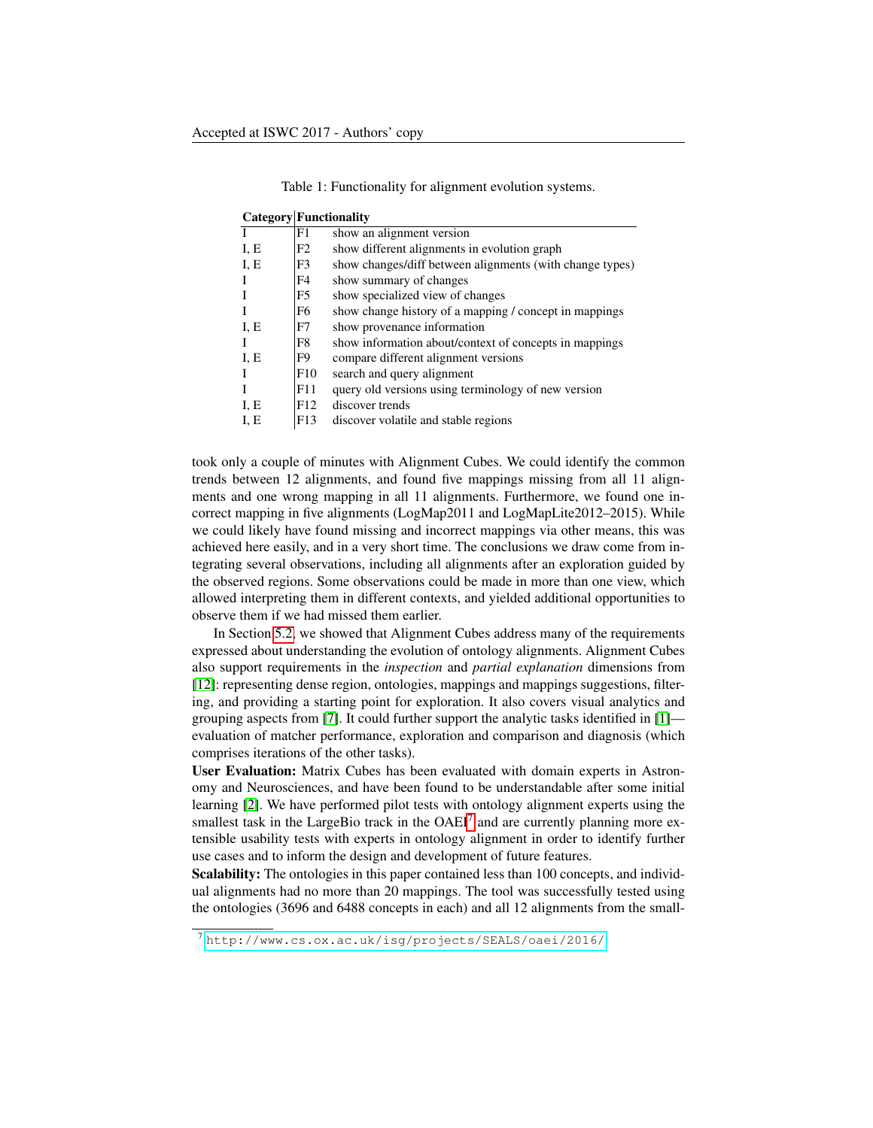|  | Table 1: Functionality for alignment evolution systems. |  |
|--|---------------------------------------------------------|--|
|  |                                                         |  |

<span id="page-14-0"></span>

|  | Category Functionality |
|--|------------------------|
|--|------------------------|

|      | F1              | show an alignment version                                |
|------|-----------------|----------------------------------------------------------|
| I, E | F2              | show different alignments in evolution graph             |
| I, E | F3              | show changes/diff between alignments (with change types) |
|      | F4              | show summary of changes                                  |
|      | F5              | show specialized view of changes                         |
|      | F6              | show change history of a mapping / concept in mappings   |
| I, E | F7              | show provenance information                              |
|      | F8              | show information about/context of concepts in mappings   |
| I, E | F9              | compare different alignment versions                     |
|      | F10             | search and query alignment                               |
|      | F11             | query old versions using terminology of new version      |
| I, E | F <sub>12</sub> | discover trends                                          |
| I, E | F13             | discover volatile and stable regions                     |
|      |                 |                                                          |

took only a couple of minutes with Alignment Cubes. We could identify the common trends between 12 alignments, and found five mappings missing from all 11 alignments and one wrong mapping in all 11 alignments. Furthermore, we found one incorrect mapping in five alignments (LogMap2011 and LogMapLite2012–2015). While we could likely have found missing and incorrect mappings via other means, this was achieved here easily, and in a very short time. The conclusions we draw come from integrating several observations, including all alignments after an exploration guided by the observed regions. Some observations could be made in more than one view, which allowed interpreting them in different contexts, and yielded additional opportunities to observe them if we had missed them earlier.

In Section [5.2,](#page-13-2) we showed that Alignment Cubes address many of the requirements expressed about understanding the evolution of ontology alignments. Alignment Cubes also support requirements in the *inspection* and *partial explanation* dimensions from [\[12\]](#page-16-10): representing dense region, ontologies, mappings and mappings suggestions, filtering, and providing a starting point for exploration. It also covers visual analytics and grouping aspects from [\[7\]](#page-16-9). It could further support the analytic tasks identified in [\[1\]](#page-16-1) evaluation of matcher performance, exploration and comparison and diagnosis (which comprises iterations of the other tasks).

User Evaluation: Matrix Cubes has been evaluated with domain experts in Astronomy and Neurosciences, and have been found to be understandable after some initial learning [\[2\]](#page-16-5). We have performed pilot tests with ontology alignment experts using the smallest task in the LargeBio track in the  $OAEI<sup>7</sup>$  $OAEI<sup>7</sup>$  $OAEI<sup>7</sup>$  and are currently planning more extensible usability tests with experts in ontology alignment in order to identify further use cases and to inform the design and development of future features.

Scalability: The ontologies in this paper contained less than 100 concepts, and individual alignments had no more than 20 mappings. The tool was successfully tested using the ontologies (3696 and 6488 concepts in each) and all 12 alignments from the small-

<span id="page-14-1"></span><sup>7</sup> <http://www.cs.ox.ac.uk/isg/projects/SEALS/oaei/2016/>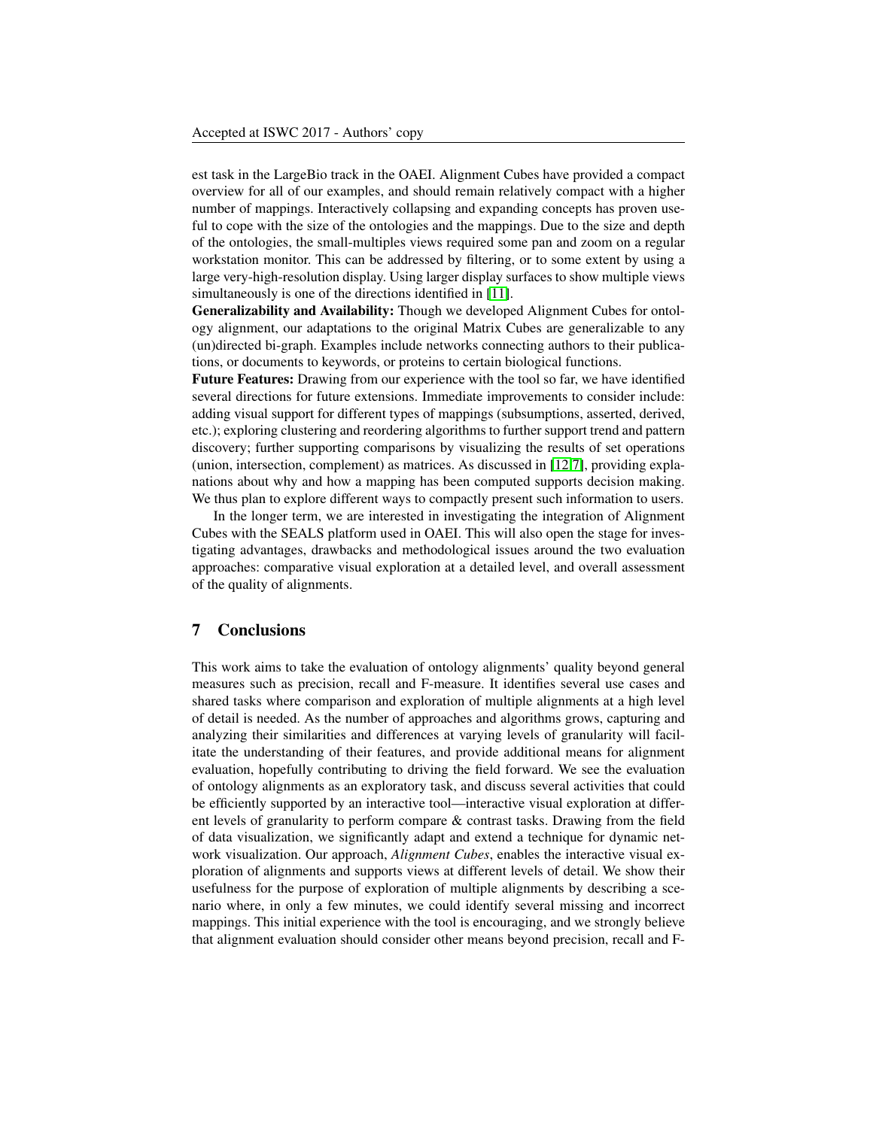est task in the LargeBio track in the OAEI. Alignment Cubes have provided a compact overview for all of our examples, and should remain relatively compact with a higher number of mappings. Interactively collapsing and expanding concepts has proven useful to cope with the size of the ontologies and the mappings. Due to the size and depth of the ontologies, the small-multiples views required some pan and zoom on a regular workstation monitor. This can be addressed by filtering, or to some extent by using a large very-high-resolution display. Using larger display surfaces to show multiple views simultaneously is one of the directions identified in [\[11\]](#page-16-19).

Generalizability and Availability: Though we developed Alignment Cubes for ontology alignment, our adaptations to the original Matrix Cubes are generalizable to any (un)directed bi-graph. Examples include networks connecting authors to their publications, or documents to keywords, or proteins to certain biological functions.

Future Features: Drawing from our experience with the tool so far, we have identified several directions for future extensions. Immediate improvements to consider include: adding visual support for different types of mappings (subsumptions, asserted, derived, etc.); exploring clustering and reordering algorithms to further support trend and pattern discovery; further supporting comparisons by visualizing the results of set operations (union, intersection, complement) as matrices. As discussed in [\[12,](#page-16-10)[7\]](#page-16-9), providing explanations about why and how a mapping has been computed supports decision making. We thus plan to explore different ways to compactly present such information to users.

In the longer term, we are interested in investigating the integration of Alignment Cubes with the SEALS platform used in OAEI. This will also open the stage for investigating advantages, drawbacks and methodological issues around the two evaluation approaches: comparative visual exploration at a detailed level, and overall assessment of the quality of alignments.

#### <span id="page-15-0"></span>7 Conclusions

This work aims to take the evaluation of ontology alignments' quality beyond general measures such as precision, recall and F-measure. It identifies several use cases and shared tasks where comparison and exploration of multiple alignments at a high level of detail is needed. As the number of approaches and algorithms grows, capturing and analyzing their similarities and differences at varying levels of granularity will facilitate the understanding of their features, and provide additional means for alignment evaluation, hopefully contributing to driving the field forward. We see the evaluation of ontology alignments as an exploratory task, and discuss several activities that could be efficiently supported by an interactive tool—interactive visual exploration at different levels of granularity to perform compare & contrast tasks. Drawing from the field of data visualization, we significantly adapt and extend a technique for dynamic network visualization. Our approach, *Alignment Cubes*, enables the interactive visual exploration of alignments and supports views at different levels of detail. We show their usefulness for the purpose of exploration of multiple alignments by describing a scenario where, in only a few minutes, we could identify several missing and incorrect mappings. This initial experience with the tool is encouraging, and we strongly believe that alignment evaluation should consider other means beyond precision, recall and F-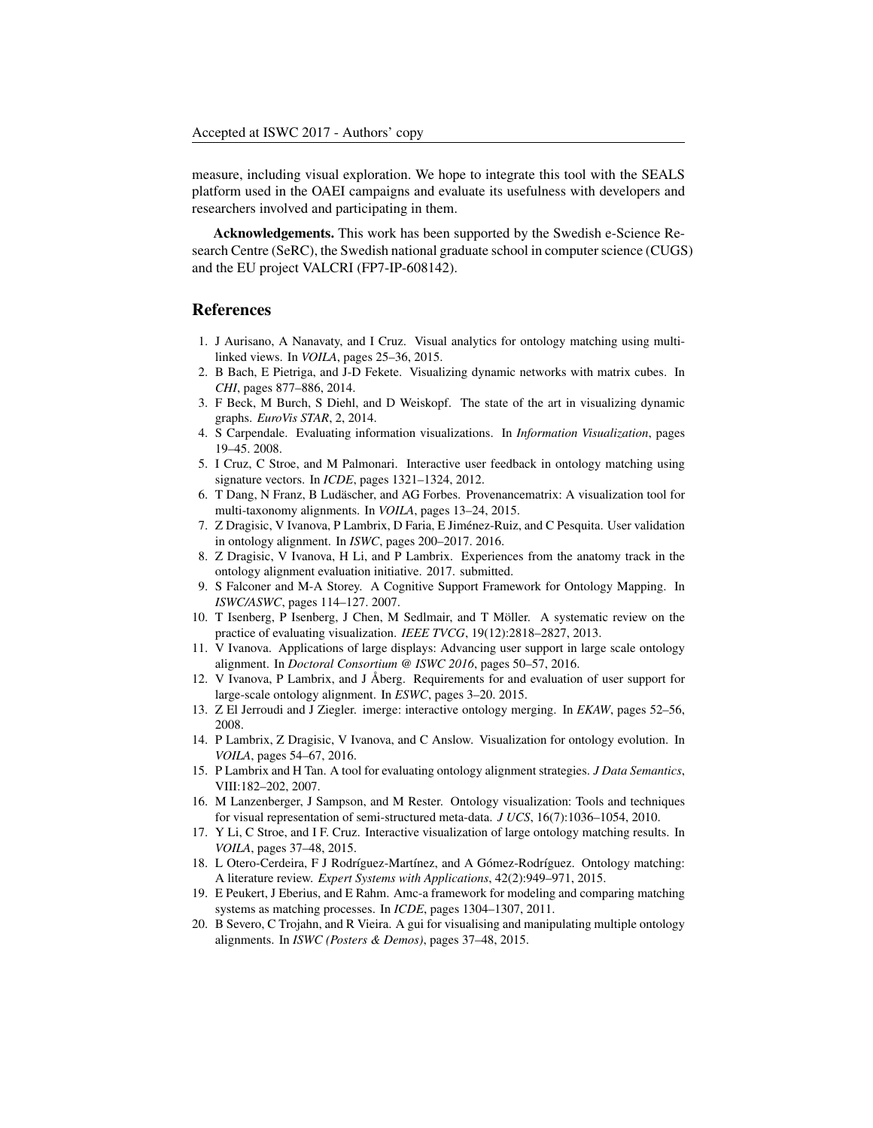measure, including visual exploration. We hope to integrate this tool with the SEALS platform used in the OAEI campaigns and evaluate its usefulness with developers and researchers involved and participating in them.

Acknowledgements. This work has been supported by the Swedish e-Science Research Centre (SeRC), the Swedish national graduate school in computer science (CUGS) and the EU project VALCRI (FP7-IP-608142).

#### References

- <span id="page-16-1"></span>1. J Aurisano, A Nanavaty, and I Cruz. Visual analytics for ontology matching using multilinked views. In *VOILA*, pages 25–36, 2015.
- <span id="page-16-5"></span>2. B Bach, E Pietriga, and J-D Fekete. Visualizing dynamic networks with matrix cubes. In *CHI*, pages 877–886, 2014.
- <span id="page-16-4"></span>3. F Beck, M Burch, S Diehl, and D Weiskopf. The state of the art in visualizing dynamic graphs. *EuroVis STAR*, 2, 2014.
- <span id="page-16-17"></span>4. S Carpendale. Evaluating information visualizations. In *Information Visualization*, pages 19–45. 2008.
- <span id="page-16-12"></span>5. I Cruz, C Stroe, and M Palmonari. Interactive user feedback in ontology matching using signature vectors. In *ICDE*, pages 1321–1324, 2012.
- <span id="page-16-15"></span>6. T Dang, N Franz, B Ludascher, and AG Forbes. Provenancematrix: A visualization tool for ¨ multi-taxonomy alignments. In *VOILA*, pages 13–24, 2015.
- <span id="page-16-9"></span>7. Z Dragisic, V Ivanova, P Lambrix, D Faria, E Jimenez-Ruiz, and C Pesquita. User validation ´ in ontology alignment. In *ISWC*, pages 200–2017. 2016.
- <span id="page-16-2"></span>8. Z Dragisic, V Ivanova, H Li, and P Lambrix. Experiences from the anatomy track in the ontology alignment evaluation initiative. 2017. submitted.
- <span id="page-16-8"></span>9. S Falconer and M-A Storey. A Cognitive Support Framework for Ontology Mapping. In *ISWC/ASWC*, pages 114–127. 2007.
- <span id="page-16-18"></span>10. T Isenberg, P Isenberg, J Chen, M Sedlmair, and T Möller. A systematic review on the practice of evaluating visualization. *IEEE TVCG*, 19(12):2818–2827, 2013.
- <span id="page-16-19"></span>11. V Ivanova. Applications of large displays: Advancing user support in large scale ontology alignment. In *Doctoral Consortium @ ISWC 2016*, pages 50–57, 2016.
- <span id="page-16-10"></span>12. V Ivanova, P Lambrix, and J Åberg. Requirements for and evaluation of user support for large-scale ontology alignment. In *ESWC*, pages 3–20. 2015.
- <span id="page-16-16"></span>13. Z El Jerroudi and J Ziegler. imerge: interactive ontology merging. In *EKAW*, pages 52–56, 2008.
- <span id="page-16-11"></span>14. P Lambrix, Z Dragisic, V Ivanova, and C Anslow. Visualization for ontology evolution. In *VOILA*, pages 54–67, 2016.
- <span id="page-16-6"></span>15. P Lambrix and H Tan. A tool for evaluating ontology alignment strategies. *J Data Semantics*, VIII:182–202, 2007.
- <span id="page-16-14"></span>16. M Lanzenberger, J Sampson, and M Rester. Ontology visualization: Tools and techniques for visual representation of semi-structured meta-data. *J UCS*, 16(7):1036–1054, 2010.
- <span id="page-16-13"></span>17. Y Li, C Stroe, and I F. Cruz. Interactive visualization of large ontology matching results. In *VOILA*, pages 37–48, 2015.
- <span id="page-16-0"></span>18. L Otero-Cerdeira, F J Rodríguez-Martínez, and A Gómez-Rodríguez. Ontology matching: A literature review. *Expert Systems with Applications*, 42(2):949–971, 2015.
- <span id="page-16-7"></span>19. E Peukert, J Eberius, and E Rahm. Amc-a framework for modeling and comparing matching systems as matching processes. In *ICDE*, pages 1304–1307, 2011.
- <span id="page-16-3"></span>20. B Severo, C Trojahn, and R Vieira. A gui for visualising and manipulating multiple ontology alignments. In *ISWC (Posters & Demos)*, pages 37–48, 2015.